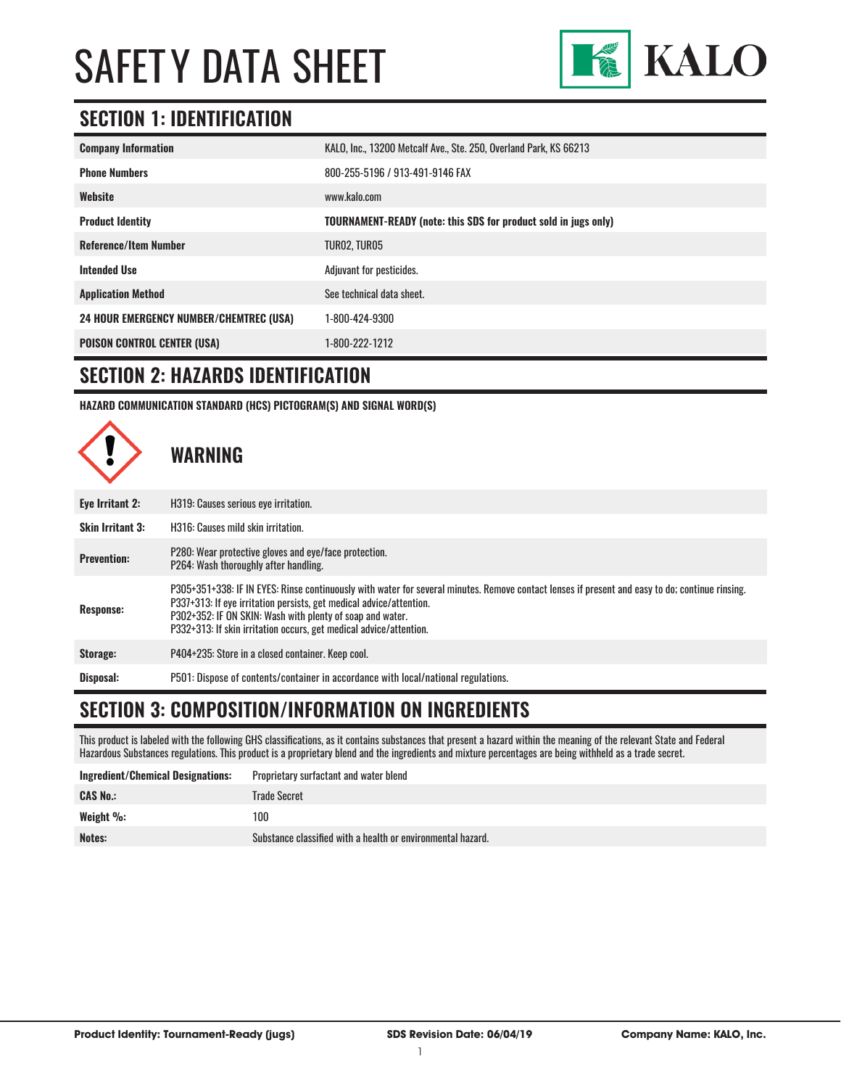

### **SECTION 1: IDENTIFICATION**

| <b>Company Information</b>                     | KALO, Inc., 13200 Metcalf Ave., Ste. 250, Overland Park, KS 66213      |
|------------------------------------------------|------------------------------------------------------------------------|
| <b>Phone Numbers</b>                           | 800-255-5196 / 913-491-9146 FAX                                        |
| Website                                        | www.kalo.com                                                           |
| <b>Product Identity</b>                        | <b>TOURNAMENT-READY (note: this SDS for product sold in jugs only)</b> |
| <b>Reference/Item Number</b>                   | TURO2, TURO5                                                           |
| <b>Intended Use</b>                            | Adjuvant for pesticides.                                               |
| <b>Application Method</b>                      | See technical data sheet.                                              |
| <b>24 HOUR EMERGENCY NUMBER/CHEMTREC (USA)</b> | 1-800-424-9300                                                         |
| <b>POISON CONTROL CENTER (USA)</b>             | 1-800-222-1212                                                         |

#### **SECTION 2: HAZARDS IDENTIFICATION**

**HAZARD COMMUNICATION STANDARD (HCS) PICTOGRAM(S) AND SIGNAL WORD(S)**



### **SECTION 3: COMPOSITION/INFORMATION ON INGREDIENTS**

This product is labeled with the following GHS classifications, as it contains substances that present a hazard within the meaning of the relevant State and Federal Hazardous Substances regulations. This product is a proprietary blend and the ingredients and mixture percentages are being withheld as a trade secret.

| Ingredient/Chemical Designations: | Proprietary surfactant and water blend                      |
|-----------------------------------|-------------------------------------------------------------|
| <b>CAS No.:</b>                   | Trade Secret                                                |
| Weight $\%$ :                     | 100                                                         |
| <b>Notes:</b>                     | Substance classified with a health or environmental hazard. |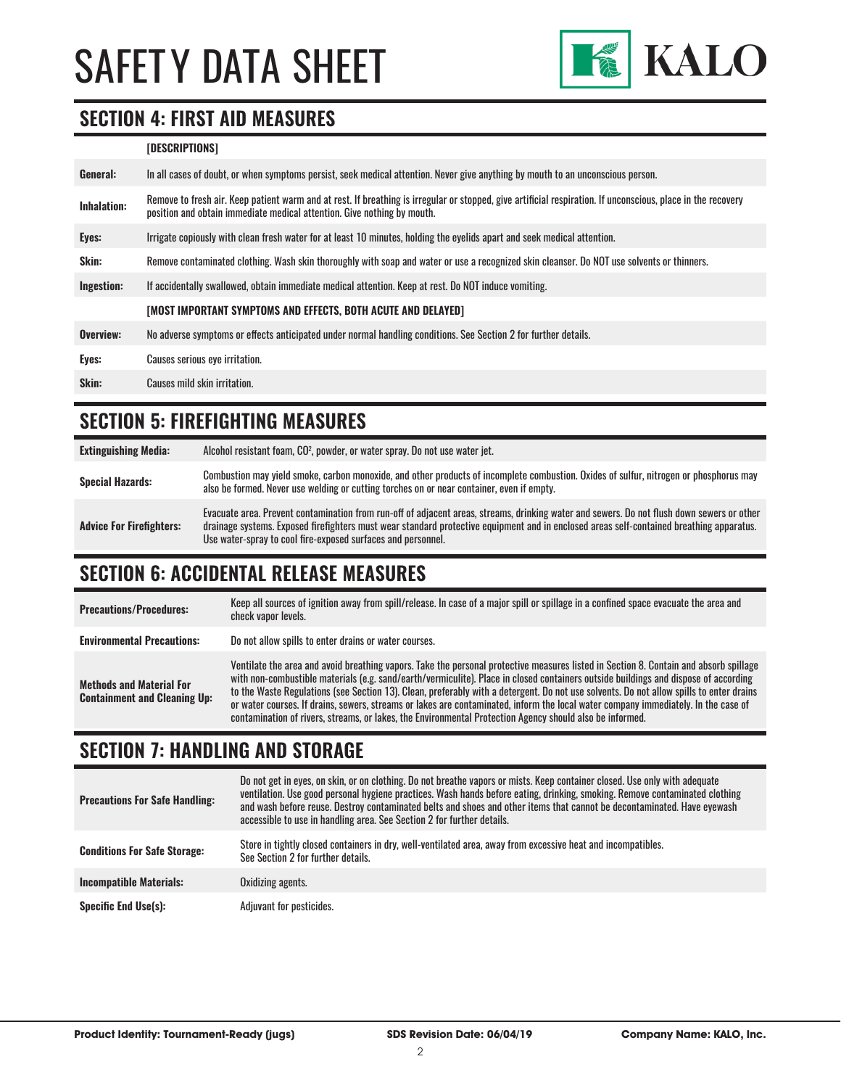

### **SECTION 4: FIRST AID MEASURES**

#### **[DESCRIPTIONS]**

| General:           | In all cases of doubt, or when symptoms persist, seek medical attention. Never give anything by mouth to an unconscious person.                                                                                                         |
|--------------------|-----------------------------------------------------------------------------------------------------------------------------------------------------------------------------------------------------------------------------------------|
| <b>Inhalation:</b> | Remove to fresh air. Keep patient warm and at rest. If breathing is irregular or stopped, give artificial respiration. If unconscious, place in the recovery<br>position and obtain immediate medical attention. Give nothing by mouth. |
| Eyes:              | Irrigate copiously with clean fresh water for at least 10 minutes, holding the eyelids apart and seek medical attention.                                                                                                                |
| <b>Skin:</b>       | Remove contaminated clothing. Wash skin thoroughly with soap and water or use a recognized skin cleanser. Do NOT use solvents or thinners.                                                                                              |
| Ingestion:         | If accidentally swallowed, obtain immediate medical attention. Keep at rest, Do NOT induce vomiting.                                                                                                                                    |
|                    | [MOST IMPORTANT SYMPTOMS AND EFFECTS, BOTH ACUTE AND DELAYED]                                                                                                                                                                           |
| Overview:          | No adverse symptoms or effects anticipated under normal handling conditions. See Section 2 for further details.                                                                                                                         |
| Eyes:              | Causes serious eye irritation.                                                                                                                                                                                                          |
| Skin:              | Causes mild skin irritation.                                                                                                                                                                                                            |
|                    |                                                                                                                                                                                                                                         |

### **SECTION 5: FIREFIGHTING MEASURES**

| <b>Extinguishing Media:</b>     | Alcohol resistant foam, CO <sup>2</sup> , powder, or water spray. Do not use water jet.                                                                                                                                                                                                                                                                |
|---------------------------------|--------------------------------------------------------------------------------------------------------------------------------------------------------------------------------------------------------------------------------------------------------------------------------------------------------------------------------------------------------|
| <b>Special Hazards:</b>         | Combustion may yield smoke, carbon monoxide, and other products of incomplete combustion. Oxides of sulfur, nitrogen or phosphorus may<br>also be formed. Never use welding or cutting torches on or near container, even if empty.                                                                                                                    |
| <b>Advice For Firefighters:</b> | Evacuate area. Prevent contamination from run-off of adjacent areas, streams, drinking water and sewers. Do not flush down sewers or other<br>drainage systems. Exposed firefighters must wear standard protective equipment and in enclosed areas self-contained breathing apparatus.<br>Use water-spray to cool fire-exposed surfaces and personnel. |

### **SECTION 6: ACCIDENTAL RELEASE MEASURES**

| <b>Precautions/Procedures:</b>                                         | Keep all sources of ignition away from spill/release. In case of a major spill or spillage in a confined space evacuate the area and<br>check vapor levels.                                                                                                                                                                                                                                                                                                                                                                                                                                                                                                               |
|------------------------------------------------------------------------|---------------------------------------------------------------------------------------------------------------------------------------------------------------------------------------------------------------------------------------------------------------------------------------------------------------------------------------------------------------------------------------------------------------------------------------------------------------------------------------------------------------------------------------------------------------------------------------------------------------------------------------------------------------------------|
| <b>Environmental Precautions:</b>                                      | Do not allow spills to enter drains or water courses.                                                                                                                                                                                                                                                                                                                                                                                                                                                                                                                                                                                                                     |
| <b>Methods and Material For</b><br><b>Containment and Cleaning Up:</b> | Ventilate the area and avoid breathing vapors. Take the personal protective measures listed in Section 8. Contain and absorb spillage<br>with non-combustible materials (e.g. sand/earth/vermiculite). Place in closed containers outside buildings and dispose of according<br>to the Waste Regulations (see Section 13). Clean, preferably with a detergent. Do not use solvents. Do not allow spills to enter drains<br>or water courses. If drains, sewers, streams or lakes are contaminated, inform the local water company immediately. In the case of<br>contamination of rivers, streams, or lakes, the Environmental Protection Agency should also be informed. |

### **SECTION 7: HANDLING AND STORAGE**

| <b>Precautions For Safe Handling:</b> | Do not get in eyes, on skin, or on clothing. Do not breathe vapors or mists. Keep container closed. Use only with adequate<br>ventilation. Use good personal hygiene practices. Wash hands before eating, drinking, smoking. Remove contaminated clothing<br>and wash before reuse. Destroy contaminated belts and shoes and other items that cannot be decontaminated. Have evewash<br>accessible to use in handling area. See Section 2 for further details. |
|---------------------------------------|----------------------------------------------------------------------------------------------------------------------------------------------------------------------------------------------------------------------------------------------------------------------------------------------------------------------------------------------------------------------------------------------------------------------------------------------------------------|
| <b>Conditions For Safe Storage:</b>   | Store in tightly closed containers in dry, well-ventilated area, away from excessive heat and incompatibles.<br>See Section 2 for further details.                                                                                                                                                                                                                                                                                                             |
| <b>Incompatible Materials:</b>        | Oxidizing agents.                                                                                                                                                                                                                                                                                                                                                                                                                                              |
| <b>Specific End Use(s):</b>           | Adjuvant for pesticides.                                                                                                                                                                                                                                                                                                                                                                                                                                       |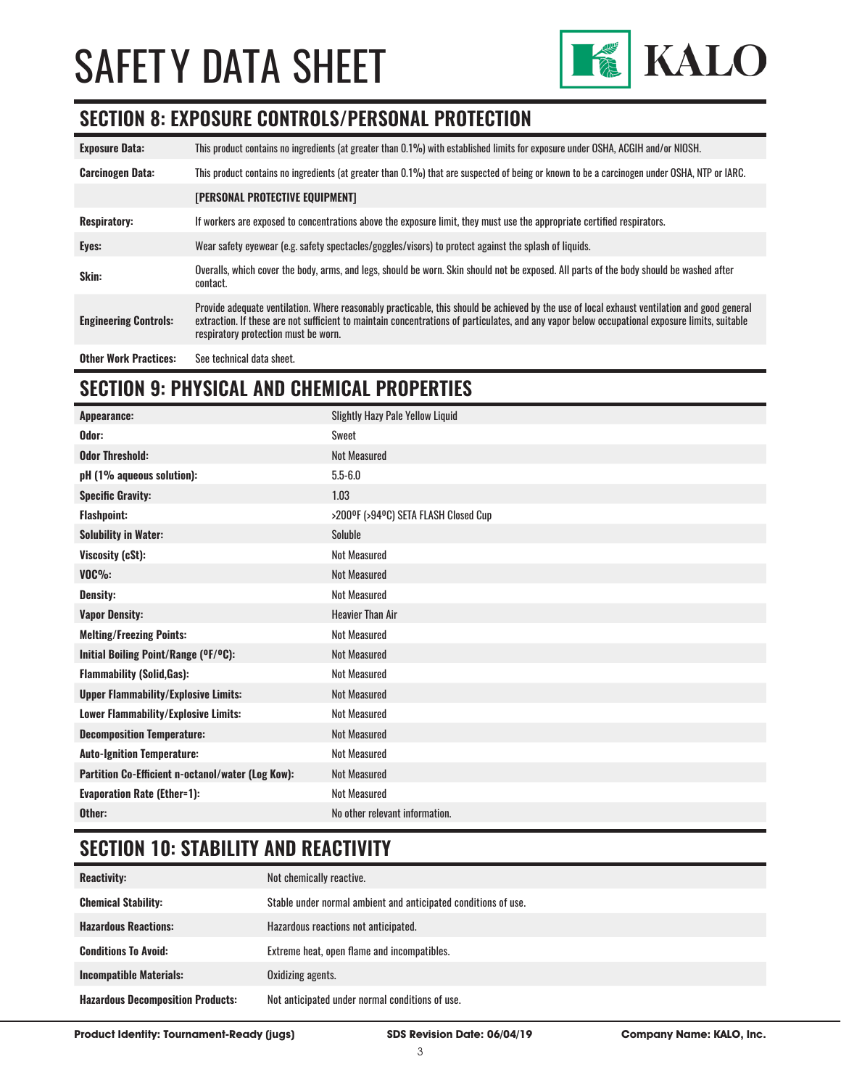

### **SECTION 8: EXPOSURE CONTROLS/PERSONAL PROTECTION**

| <b>Exposure Data:</b>        | This product contains no ingredients (at greater than 0.1%) with established limits for exposure under OSHA, ACGIH and/or NIOSH.                                                                                                                                                                                                       |
|------------------------------|----------------------------------------------------------------------------------------------------------------------------------------------------------------------------------------------------------------------------------------------------------------------------------------------------------------------------------------|
| <b>Carcinogen Data:</b>      | This product contains no ingredients (at greater than 0.1%) that are suspected of being or known to be a carcinogen under OSHA, NTP or IARC.                                                                                                                                                                                           |
|                              | [PERSONAL PROTECTIVE EQUIPMENT]                                                                                                                                                                                                                                                                                                        |
| <b>Respiratory:</b>          | If workers are exposed to concentrations above the exposure limit, they must use the appropriate certified respirators.                                                                                                                                                                                                                |
| Eyes:                        | Wear safety eyewear (e.g. safety spectacles/goggles/visors) to protect against the splash of liquids.                                                                                                                                                                                                                                  |
| Skin:                        | Overalls, which cover the body, arms, and legs, should be worn. Skin should not be exposed. All parts of the body should be washed after<br>contact.                                                                                                                                                                                   |
| <b>Engineering Controls:</b> | Provide adequate ventilation. Where reasonably practicable, this should be achieved by the use of local exhaust ventilation and good general<br>extraction. If these are not sufficient to maintain concentrations of particulates, and any vapor below occupational exposure limits, suitable<br>respiratory protection must be worn. |
| <b>Other Work Practices:</b> | See technical data sheet.                                                                                                                                                                                                                                                                                                              |

# **SECTION 9: PHYSICAL AND CHEMICAL PROPERTIES**

| Appearance:                                       | <b>Slightly Hazy Pale Yellow Liquid</b> |
|---------------------------------------------------|-----------------------------------------|
| Odor:                                             | Sweet                                   |
| <b>Odor Threshold:</b>                            | <b>Not Measured</b>                     |
| pH (1% aqueous solution):                         | $5.5 - 6.0$                             |
| <b>Specific Gravity:</b>                          | 1.03                                    |
| <b>Flashpoint:</b>                                | >200°F (>94°C) SETA FLASH Closed Cup    |
| <b>Solubility in Water:</b>                       | Soluble                                 |
| Viscosity (cSt):                                  | <b>Not Measured</b>                     |
| $VOC\%$ :                                         | <b>Not Measured</b>                     |
| <b>Density:</b>                                   | Not Measured                            |
| <b>Vapor Density:</b>                             | <b>Heavier Than Air</b>                 |
| <b>Melting/Freezing Points:</b>                   | <b>Not Measured</b>                     |
| Initial Boiling Point/Range (OF/OC):              | <b>Not Measured</b>                     |
| <b>Flammability (Solid, Gas):</b>                 | <b>Not Measured</b>                     |
| <b>Upper Flammability/Explosive Limits:</b>       | <b>Not Measured</b>                     |
| Lower Flammability/Explosive Limits:              | <b>Not Measured</b>                     |
| <b>Decomposition Temperature:</b>                 | <b>Not Measured</b>                     |
| <b>Auto-Ignition Temperature:</b>                 | <b>Not Measured</b>                     |
| Partition Co-Efficient n-octanol/water (Log Kow): | <b>Not Measured</b>                     |
| <b>Evaporation Rate (Ether=1):</b>                | <b>Not Measured</b>                     |
| Other:                                            | No other relevant information.          |

# **SECTION 10: STABILITY AND REACTIVITY**

| <b>Reactivity:</b>                       | Not chemically reactive.                                       |
|------------------------------------------|----------------------------------------------------------------|
| <b>Chemical Stability:</b>               | Stable under normal ambient and anticipated conditions of use. |
| <b>Hazardous Reactions:</b>              | Hazardous reactions not anticipated.                           |
| <b>Conditions To Avoid:</b>              | Extreme heat, open flame and incompatibles.                    |
| <b>Incompatible Materials:</b>           | Oxidizing agents.                                              |
| <b>Hazardous Decomposition Products:</b> | Not anticipated under normal conditions of use.                |

**Product Identity: Tournament-Ready (jugs) SDS Revision Date: 06/04/19 Company Name: KALO, Inc.**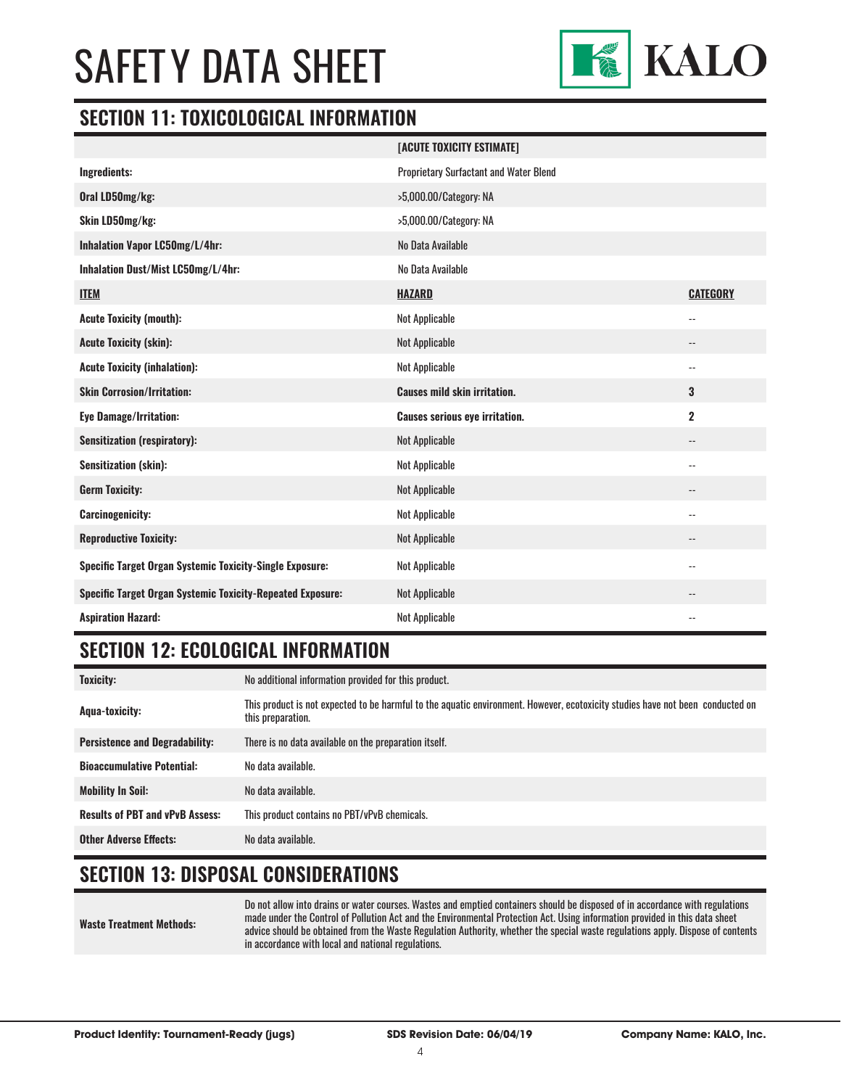

#### **SECTION 11: TOXICOLOGICAL INFORMATION**

|                                                                   | [ACUTE TOXICITY ESTIMATE]              |                            |
|-------------------------------------------------------------------|----------------------------------------|----------------------------|
| Ingredients:                                                      | Proprietary Surfactant and Water Blend |                            |
| Oral LD50mg/kg:                                                   | >5,000.00/Category: NA                 |                            |
| Skin LD50mg/kg:                                                   | >5,000.00/Category: NA                 |                            |
| Inhalation Vapor LC50mg/L/4hr:                                    | No Data Available                      |                            |
| Inhalation Dust/Mist LC50mg/L/4hr:                                | No Data Available                      |                            |
| <b>ITEM</b>                                                       | <b>HAZARD</b>                          | <b>CATEGORY</b>            |
| <b>Acute Toxicity (mouth):</b>                                    | <b>Not Applicable</b>                  | $\overline{\phantom{a}}$ . |
| <b>Acute Toxicity (skin):</b>                                     | <b>Not Applicable</b>                  | $\overline{\phantom{a}}$ . |
| <b>Acute Toxicity (inhalation):</b>                               | Not Applicable                         | $\overline{\phantom{a}}$   |
| <b>Skin Corrosion/Irritation:</b>                                 | <b>Causes mild skin irritation.</b>    | 3                          |
| <b>Eye Damage/Irritation:</b>                                     | <b>Causes serious eye irritation.</b>  | $\overline{\mathbf{2}}$    |
| <b>Sensitization (respiratory):</b>                               | <b>Not Applicable</b>                  | $\qquad \qquad -$          |
| <b>Sensitization (skin):</b>                                      | <b>Not Applicable</b>                  | $-$                        |
| <b>Germ Toxicity:</b>                                             | <b>Not Applicable</b>                  | $\overline{\phantom{a}}$   |
| <b>Carcinogenicity:</b>                                           | <b>Not Applicable</b>                  | $\overline{\phantom{a}}$   |
| <b>Reproductive Toxicity:</b>                                     | <b>Not Applicable</b>                  | --                         |
| Specific Target Organ Systemic Toxicity-Single Exposure:          | Not Applicable                         | $\overline{\phantom{a}}$   |
| <b>Specific Target Organ Systemic Toxicity-Repeated Exposure:</b> | <b>Not Applicable</b>                  | --                         |
| <b>Aspiration Hazard:</b>                                         | <b>Not Applicable</b>                  | $-$                        |

### **SECTION 12: ECOLOGICAL INFORMATION**

| <b>Toxicity:</b>                       | No additional information provided for this product.                                                                                                |
|----------------------------------------|-----------------------------------------------------------------------------------------------------------------------------------------------------|
| Agua-toxicity:                         | This product is not expected to be harmful to the aquatic environment. However, ecotoxicity studies have not been conducted on<br>this preparation. |
| <b>Persistence and Degradability:</b>  | There is no data available on the preparation itself.                                                                                               |
| <b>Bioaccumulative Potential:</b>      | No data available.                                                                                                                                  |
| <b>Mobility In Soil:</b>               | No data available.                                                                                                                                  |
| <b>Results of PBT and vPvB Assess:</b> | This product contains no PBT/vPvB chemicals.                                                                                                        |
| <b>Other Adverse Effects:</b>          | No data available.                                                                                                                                  |

# **SECTION 13: DISPOSAL CONSIDERATIONS**

#### **Waste Treatment Methods:** Do not allow into drains or water courses. Wastes and emptied containers should be disposed of in accordance with regulations made under the Control of Pollution Act and the Environmental Protection Act. Using information provided in this data sheet advice should be obtained from the Waste Regulation Authority, whether the special waste regulations apply. Dispose of contents in accordance with local and national regulations.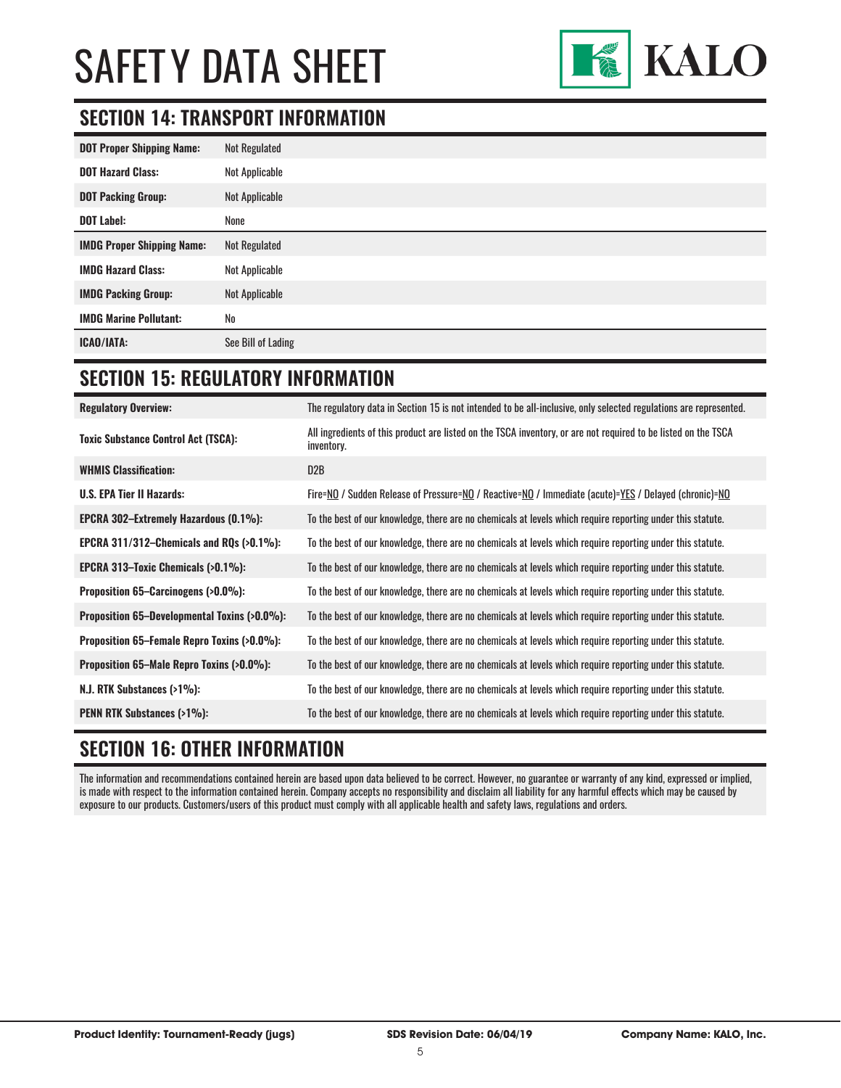

# **SECTION 14: TRANSPORT INFORMATION**

| <b>DOT Proper Shipping Name:</b>  | <b>Not Regulated</b> |
|-----------------------------------|----------------------|
| <b>DOT Hazard Class:</b>          | Not Applicable       |
| <b>DOT Packing Group:</b>         | Not Applicable       |
| <b>DOT Label:</b>                 | None                 |
| <b>IMDG Proper Shipping Name:</b> | Not Regulated        |
| <b>IMDG Hazard Class:</b>         | Not Applicable       |
| <b>IMDG Packing Group:</b>        | Not Applicable       |
| <b>IMDG Marine Pollutant:</b>     | No                   |
| ICAO/IATA:                        | See Bill of Lading   |

# **SECTION 15: REGULATORY INFORMATION**

| <b>Regulatory Overview:</b>                  | The regulatory data in Section 15 is not intended to be all-inclusive, only selected regulations are represented.                           |
|----------------------------------------------|---------------------------------------------------------------------------------------------------------------------------------------------|
| <b>Toxic Substance Control Act (TSCA):</b>   | All ingredients of this product are listed on the TSCA inventory, or are not required to be listed on the TSCA<br>inventory.                |
| <b>WHMIS Classification:</b>                 | D2B                                                                                                                                         |
| <b>U.S. EPA Tier II Hazards:</b>             | <u>Fire=NO</u> / Sudden Release of Pressure= <u>NO</u> / Reactive= <u>NO</u> / Immediate (acute)= <u>YES</u> / Delayed (chronic)= <u>NO</u> |
| <b>EPCRA 302-Extremely Hazardous (0.1%):</b> | To the best of our knowledge, there are no chemicals at levels which require reporting under this statute.                                  |
| EPCRA 311/312–Chemicals and RQs $(>0.1\%)$ : | To the best of our knowledge, there are no chemicals at levels which require reporting under this statute.                                  |
| EPCRA 313-Toxic Chemicals (>0.1%):           | To the best of our knowledge, there are no chemicals at levels which require reporting under this statute.                                  |
| Proposition 65–Carcinogens (>0.0%):          | To the best of our knowledge, there are no chemicals at levels which require reporting under this statute.                                  |
| Proposition 65–Developmental Toxins (>0.0%): | To the best of our knowledge, there are no chemicals at levels which require reporting under this statute.                                  |
| Proposition 65–Female Repro Toxins (>0.0%):  | To the best of our knowledge, there are no chemicals at levels which require reporting under this statute.                                  |
| Proposition 65–Male Repro Toxins (>0.0%):    | To the best of our knowledge, there are no chemicals at levels which require reporting under this statute.                                  |
| N.J. RTK Substances (>1%):                   | To the best of our knowledge, there are no chemicals at levels which require reporting under this statute.                                  |
| <b>PENN RTK Substances (&gt;1%):</b>         | To the best of our knowledge, there are no chemicals at levels which require reporting under this statute.                                  |
|                                              |                                                                                                                                             |

# **SECTION 16: OTHER INFORMATION**

The information and recommendations contained herein are based upon data believed to be correct. However, no guarantee or warranty of any kind, expressed or implied, is made with respect to the information contained herein. Company accepts no responsibility and disclaim all liability for any harmful effects which may be caused by exposure to our products. Customers/users of this product must comply with all applicable health and safety laws, regulations and orders.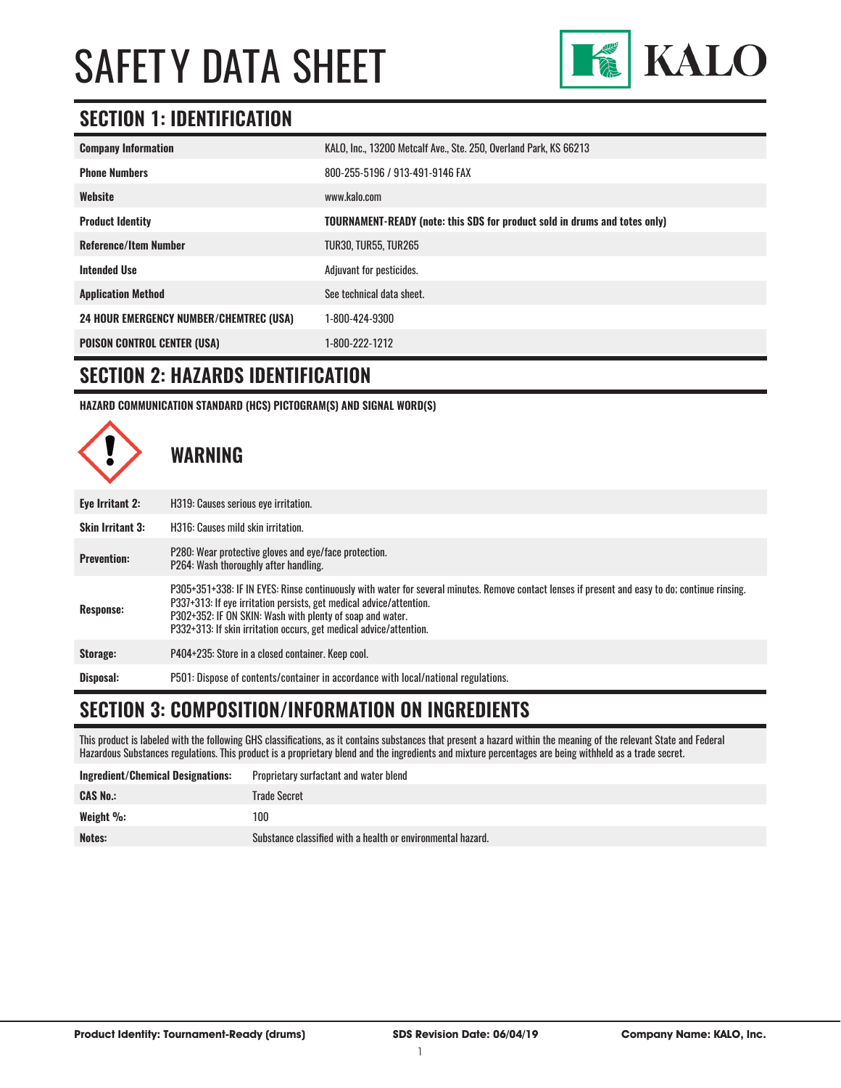

### **SECTION 1: IDENTIFICATION**

| <b>Company Information</b>                     | KALO, Inc., 13200 Metcalf Ave., Ste. 250, Overland Park, KS 66213                 |
|------------------------------------------------|-----------------------------------------------------------------------------------|
| <b>Phone Numbers</b>                           | 800-255-5196 / 913-491-9146 FAX                                                   |
| Website                                        | www.kalo.com                                                                      |
| <b>Product Identity</b>                        | <b>TOURNAMENT-READY</b> (note: this SDS for product sold in drums and totes only) |
| <b>Reference/Item Number</b>                   | <b>TUR30, TUR55, TUR265</b>                                                       |
| <b>Intended Use</b>                            | Adjuvant for pesticides.                                                          |
| <b>Application Method</b>                      | See technical data sheet.                                                         |
| <b>24 HOUR EMERGENCY NUMBER/CHEMTREC (USA)</b> | 1-800-424-9300                                                                    |
| <b>POISON CONTROL CENTER (USA)</b>             | 1-800-222-1212                                                                    |

#### **SECTION 2: HAZARDS IDENTIFICATION**

**HAZARD COMMUNICATION STANDARD (HCS) PICTOGRAM(S) AND SIGNAL WORD(S)**



# **SECTION 3: COMPOSITION/INFORMATION ON INGREDIENTS**

This product is labeled with the following GHS classifications, as it contains substances that present a hazard within the meaning of the relevant State and Federal Hazardous Substances regulations. This product is a proprietary blend and the ingredients and mixture percentages are being withheld as a trade secret.

| Ingredient/Chemical Designations: | Proprietary surfactant and water blend                      |
|-----------------------------------|-------------------------------------------------------------|
| <b>CAS No.:</b>                   | Trade Secret                                                |
| Weight $\%$ :                     | 100                                                         |
| <b>Notes:</b>                     | Substance classified with a health or environmental hazard. |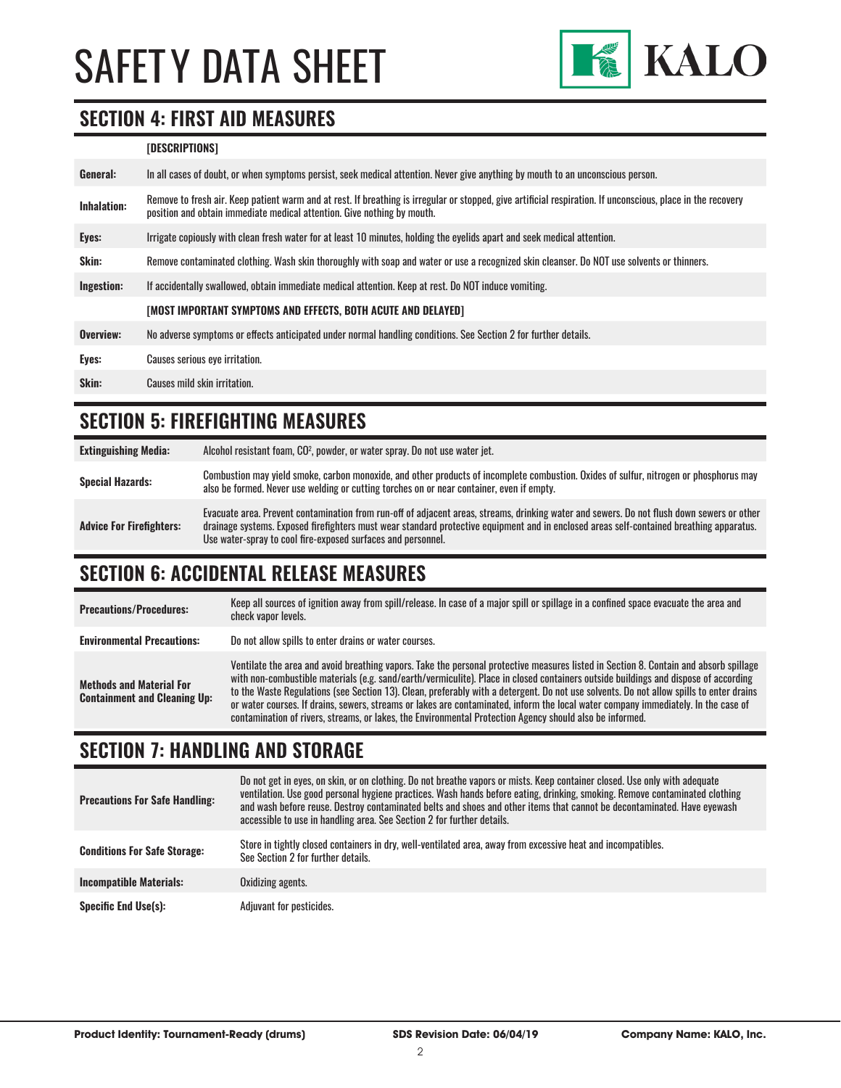

### **SECTION 4: FIRST AID MEASURES**

#### **[DESCRIPTIONS]**

| General:           | In all cases of doubt, or when symptoms persist, seek medical attention. Never give anything by mouth to an unconscious person.                                                                                                         |
|--------------------|-----------------------------------------------------------------------------------------------------------------------------------------------------------------------------------------------------------------------------------------|
| <b>Inhalation:</b> | Remove to fresh air. Keep patient warm and at rest. If breathing is irregular or stopped, give artificial respiration. If unconscious, place in the recovery<br>position and obtain immediate medical attention. Give nothing by mouth. |
| Eyes:              | Irrigate copiously with clean fresh water for at least 10 minutes, holding the eyelids apart and seek medical attention.                                                                                                                |
| <b>Skin:</b>       | Remove contaminated clothing. Wash skin thoroughly with soap and water or use a recognized skin cleanser. Do NOT use solvents or thinners.                                                                                              |
| Ingestion:         | If accidentally swallowed, obtain immediate medical attention. Keep at rest. Do NOT induce vomiting.                                                                                                                                    |
|                    | [MOST IMPORTANT SYMPTOMS AND EFFECTS, BOTH ACUTE AND DELAYED]                                                                                                                                                                           |
| Overview:          | No adverse symptoms or effects anticipated under normal handling conditions. See Section 2 for further details.                                                                                                                         |
| Eyes:              | Causes serious eye irritation.                                                                                                                                                                                                          |
| Skin:              | Causes mild skin irritation.                                                                                                                                                                                                            |
|                    |                                                                                                                                                                                                                                         |

### **SECTION 5: FIREFIGHTING MEASURES**

| <b>Extinguishing Media:</b>     | Alcohol resistant foam, CO <sup>2</sup> , powder, or water spray. Do not use water jet.                                                                                                                                                                                                                                                                |
|---------------------------------|--------------------------------------------------------------------------------------------------------------------------------------------------------------------------------------------------------------------------------------------------------------------------------------------------------------------------------------------------------|
| <b>Special Hazards:</b>         | Combustion may yield smoke, carbon monoxide, and other products of incomplete combustion. Oxides of sulfur, nitrogen or phosphorus may<br>also be formed. Never use welding or cutting torches on or near container, even if empty.                                                                                                                    |
| <b>Advice For Firefighters:</b> | Evacuate area. Prevent contamination from run-off of adjacent areas, streams, drinking water and sewers. Do not flush down sewers or other<br>drainage systems. Exposed firefighters must wear standard protective equipment and in enclosed areas self-contained breathing apparatus.<br>Use water-spray to cool fire-exposed surfaces and personnel. |

### **SECTION 6: ACCIDENTAL RELEASE MEASURES**

| <b>Precautions/Procedures:</b>                                         | Keep all sources of ignition away from spill/release. In case of a major spill or spillage in a confined space evacuate the area and<br>check vapor levels.                                                                                                                                                                                                                                                                                                                                                                                                                                                                                                               |
|------------------------------------------------------------------------|---------------------------------------------------------------------------------------------------------------------------------------------------------------------------------------------------------------------------------------------------------------------------------------------------------------------------------------------------------------------------------------------------------------------------------------------------------------------------------------------------------------------------------------------------------------------------------------------------------------------------------------------------------------------------|
| <b>Environmental Precautions:</b>                                      | Do not allow spills to enter drains or water courses.                                                                                                                                                                                                                                                                                                                                                                                                                                                                                                                                                                                                                     |
| <b>Methods and Material For</b><br><b>Containment and Cleaning Up:</b> | Ventilate the area and avoid breathing vapors. Take the personal protective measures listed in Section 8. Contain and absorb spillage<br>with non-combustible materials (e.g. sand/earth/vermiculite). Place in closed containers outside buildings and dispose of according<br>to the Waste Regulations (see Section 13). Clean, preferably with a detergent. Do not use solvents. Do not allow spills to enter drains<br>or water courses. If drains, sewers, streams or lakes are contaminated, inform the local water company immediately. In the case of<br>contamination of rivers, streams, or lakes, the Environmental Protection Agency should also be informed. |

### **SECTION 7: HANDLING AND STORAGE**

| <b>Precautions For Safe Handling:</b> | Do not get in eyes, on skin, or on clothing. Do not breathe vapors or mists. Keep container closed. Use only with adequate<br>ventilation. Use good personal hygiene practices. Wash hands before eating, drinking, smoking. Remove contaminated clothing<br>and wash before reuse. Destroy contaminated belts and shoes and other items that cannot be decontaminated. Have evewash<br>accessible to use in handling area. See Section 2 for further details. |
|---------------------------------------|----------------------------------------------------------------------------------------------------------------------------------------------------------------------------------------------------------------------------------------------------------------------------------------------------------------------------------------------------------------------------------------------------------------------------------------------------------------|
| <b>Conditions For Safe Storage:</b>   | Store in tightly closed containers in dry, well-ventilated area, away from excessive heat and incompatibles.<br>See Section 2 for further details.                                                                                                                                                                                                                                                                                                             |
| <b>Incompatible Materials:</b>        | Oxidizing agents.                                                                                                                                                                                                                                                                                                                                                                                                                                              |
| <b>Specific End Use(s):</b>           | Adjuvant for pesticides.                                                                                                                                                                                                                                                                                                                                                                                                                                       |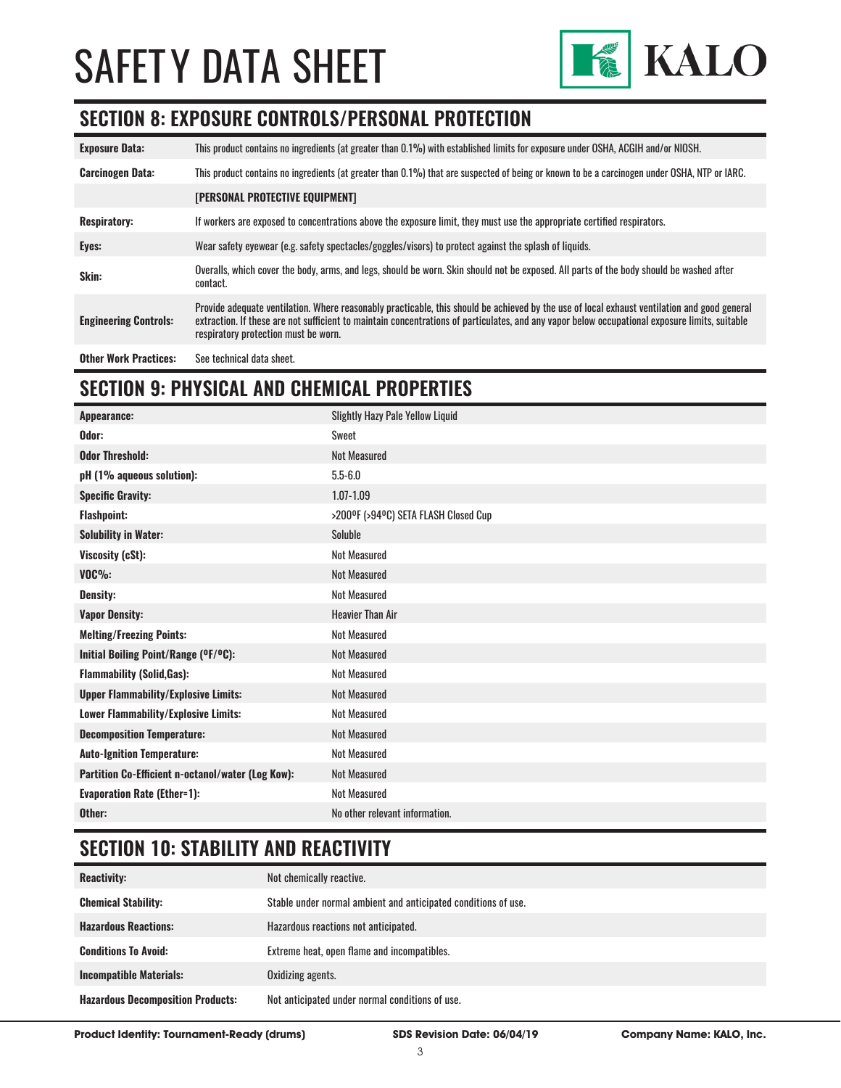

### **SECTION 8: EXPOSURE CONTROLS/PERSONAL PROTECTION**

| <b>Exposure Data:</b>        | This product contains no ingredients (at greater than 0.1%) with established limits for exposure under OSHA, ACGIH and/or NIOSH.                                                                                                                                                                                                       |
|------------------------------|----------------------------------------------------------------------------------------------------------------------------------------------------------------------------------------------------------------------------------------------------------------------------------------------------------------------------------------|
| <b>Carcinogen Data:</b>      | This product contains no ingredients (at greater than 0.1%) that are suspected of being or known to be a carcinogen under OSHA, NTP or IARC.                                                                                                                                                                                           |
|                              | [PERSONAL PROTECTIVE EQUIPMENT]                                                                                                                                                                                                                                                                                                        |
| <b>Respiratory:</b>          | If workers are exposed to concentrations above the exposure limit, they must use the appropriate certified respirators.                                                                                                                                                                                                                |
| Eyes:                        | Wear safety eyewear (e.g. safety spectacles/goggles/visors) to protect against the splash of liquids.                                                                                                                                                                                                                                  |
| Skin:                        | Overalls, which cover the body, arms, and legs, should be worn. Skin should not be exposed. All parts of the body should be washed after<br>contact.                                                                                                                                                                                   |
| <b>Engineering Controls:</b> | Provide adequate ventilation. Where reasonably practicable, this should be achieved by the use of local exhaust ventilation and good general<br>extraction. If these are not sufficient to maintain concentrations of particulates, and any vapor below occupational exposure limits, suitable<br>respiratory protection must be worn. |
| <b>Other Work Practices:</b> | See technical data sheet.                                                                                                                                                                                                                                                                                                              |

# **SECTION 9: PHYSICAL AND CHEMICAL PROPERTIES**

| Appearance:                                       | <b>Slightly Hazy Pale Yellow Liquid</b> |
|---------------------------------------------------|-----------------------------------------|
| Odor:                                             | Sweet                                   |
| <b>Odor Threshold:</b>                            | <b>Not Measured</b>                     |
| pH (1% aqueous solution):                         | $5.5 - 6.0$                             |
| <b>Specific Gravity:</b>                          | 1.07-1.09                               |
| <b>Flashpoint:</b>                                | >200°F (>94°C) SETA FLASH Closed Cup    |
| <b>Solubility in Water:</b>                       | Soluble                                 |
| Viscosity (cSt):                                  | <b>Not Measured</b>                     |
| $VOC\%$ :                                         | <b>Not Measured</b>                     |
| <b>Density:</b>                                   | <b>Not Measured</b>                     |
| <b>Vapor Density:</b>                             | <b>Heavier Than Air</b>                 |
| <b>Melting/Freezing Points:</b>                   | <b>Not Measured</b>                     |
| Initial Boiling Point/Range (OF/OC):              | <b>Not Measured</b>                     |
| <b>Flammability (Solid, Gas):</b>                 | <b>Not Measured</b>                     |
| <b>Upper Flammability/Explosive Limits:</b>       | <b>Not Measured</b>                     |
| <b>Lower Flammability/Explosive Limits:</b>       | <b>Not Measured</b>                     |
| <b>Decomposition Temperature:</b>                 | <b>Not Measured</b>                     |
| <b>Auto-Ignition Temperature:</b>                 | <b>Not Measured</b>                     |
| Partition Co-Efficient n-octanol/water (Log Kow): | <b>Not Measured</b>                     |
| <b>Evaporation Rate (Ether=1):</b>                | <b>Not Measured</b>                     |
| Other:                                            | No other relevant information.          |

# **SECTION 10: STABILITY AND REACTIVITY**

| <b>Reactivity:</b>                       | Not chemically reactive.                                       |
|------------------------------------------|----------------------------------------------------------------|
| <b>Chemical Stability:</b>               | Stable under normal ambient and anticipated conditions of use. |
| <b>Hazardous Reactions:</b>              | Hazardous reactions not anticipated.                           |
| <b>Conditions To Avoid:</b>              | Extreme heat, open flame and incompatibles.                    |
| <b>Incompatible Materials:</b>           | Oxidizing agents.                                              |
| <b>Hazardous Decomposition Products:</b> | Not anticipated under normal conditions of use.                |

**Product Identity: Tournament-Ready (drums) SDS Revision Date: 06/04/19 Company Name: KALO, Inc.**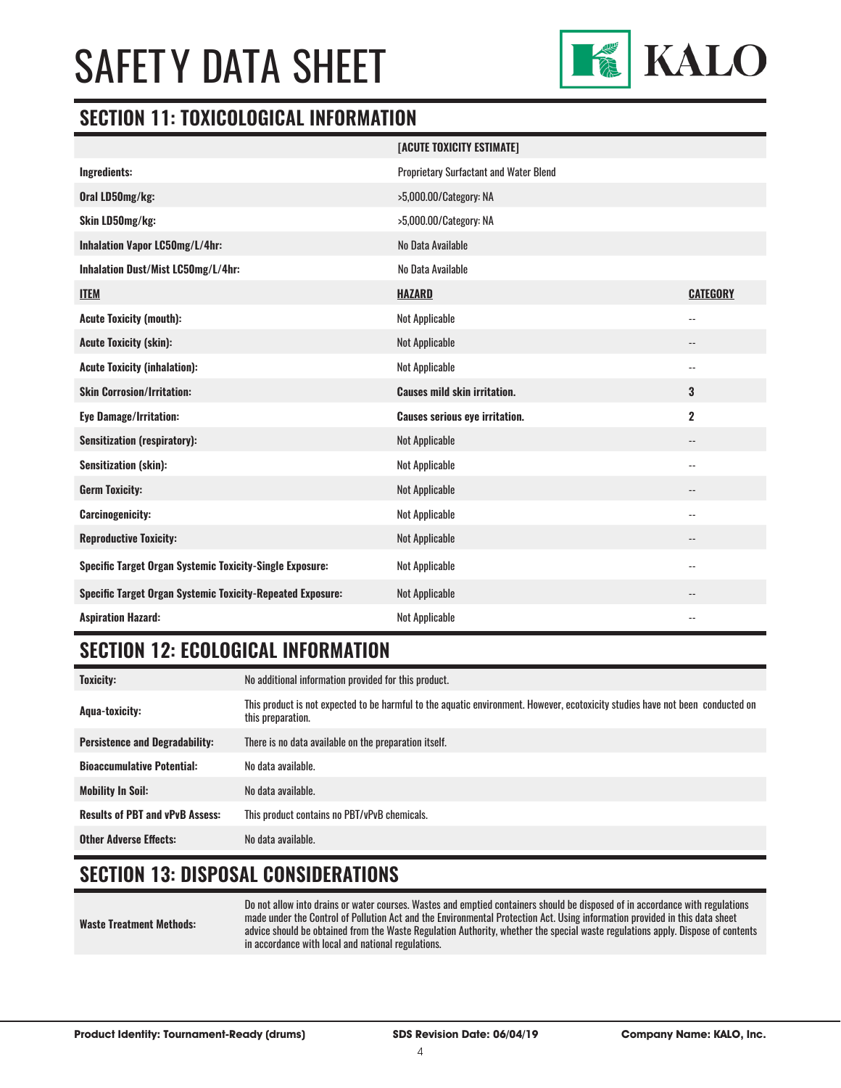

#### **SECTION 11: TOXICOLOGICAL INFORMATION**

|                                                                   | [ACUTE TOXICITY ESTIMATE]              |                            |
|-------------------------------------------------------------------|----------------------------------------|----------------------------|
| Ingredients:                                                      | Proprietary Surfactant and Water Blend |                            |
| Oral LD50mg/kg:                                                   | >5,000.00/Category: NA                 |                            |
| Skin LD50mg/kg:                                                   | >5,000.00/Category: NA                 |                            |
| Inhalation Vapor LC50mg/L/4hr:                                    | No Data Available                      |                            |
| Inhalation Dust/Mist LC50mg/L/4hr:                                | No Data Available                      |                            |
| <b>ITEM</b>                                                       | <b>HAZARD</b>                          | <b>CATEGORY</b>            |
| <b>Acute Toxicity (mouth):</b>                                    | <b>Not Applicable</b>                  | $\overline{\phantom{a}}$ . |
| <b>Acute Toxicity (skin):</b>                                     | <b>Not Applicable</b>                  | $\overline{\phantom{a}}$ . |
| <b>Acute Toxicity (inhalation):</b>                               | Not Applicable                         | $\overline{\phantom{a}}$   |
| <b>Skin Corrosion/Irritation:</b>                                 | <b>Causes mild skin irritation.</b>    | 3                          |
| <b>Eye Damage/Irritation:</b>                                     | <b>Causes serious eye irritation.</b>  | $\overline{\mathbf{2}}$    |
| <b>Sensitization (respiratory):</b>                               | <b>Not Applicable</b>                  | $\qquad \qquad -$          |
| <b>Sensitization (skin):</b>                                      | <b>Not Applicable</b>                  | $-$                        |
| <b>Germ Toxicity:</b>                                             | <b>Not Applicable</b>                  | $\overline{\phantom{a}}$   |
| <b>Carcinogenicity:</b>                                           | <b>Not Applicable</b>                  | $\overline{\phantom{a}}$   |
| <b>Reproductive Toxicity:</b>                                     | <b>Not Applicable</b>                  | --                         |
| Specific Target Organ Systemic Toxicity-Single Exposure:          | Not Applicable                         | $\qquad \qquad -$          |
| <b>Specific Target Organ Systemic Toxicity-Repeated Exposure:</b> | <b>Not Applicable</b>                  | --                         |
| <b>Aspiration Hazard:</b>                                         | <b>Not Applicable</b>                  | $-$                        |

### **SECTION 12: ECOLOGICAL INFORMATION**

| <b>Toxicity:</b>                       | No additional information provided for this product.                                                                                                |
|----------------------------------------|-----------------------------------------------------------------------------------------------------------------------------------------------------|
| Agua-toxicity:                         | This product is not expected to be harmful to the aquatic environment. However, ecotoxicity studies have not been conducted on<br>this preparation. |
| <b>Persistence and Degradability:</b>  | There is no data available on the preparation itself.                                                                                               |
| <b>Bioaccumulative Potential:</b>      | No data available.                                                                                                                                  |
| <b>Mobility In Soil:</b>               | No data available.                                                                                                                                  |
| <b>Results of PBT and vPvB Assess:</b> | This product contains no PBT/vPvB chemicals.                                                                                                        |
| <b>Other Adverse Effects:</b>          | No data available.                                                                                                                                  |

# **SECTION 13: DISPOSAL CONSIDERATIONS**

#### **Waste Treatment Methods:** Do not allow into drains or water courses. Wastes and emptied containers should be disposed of in accordance with regulations made under the Control of Pollution Act and the Environmental Protection Act. Using information provided in this data sheet advice should be obtained from the Waste Regulation Authority, whether the special waste regulations apply. Dispose of contents in accordance with local and national regulations.